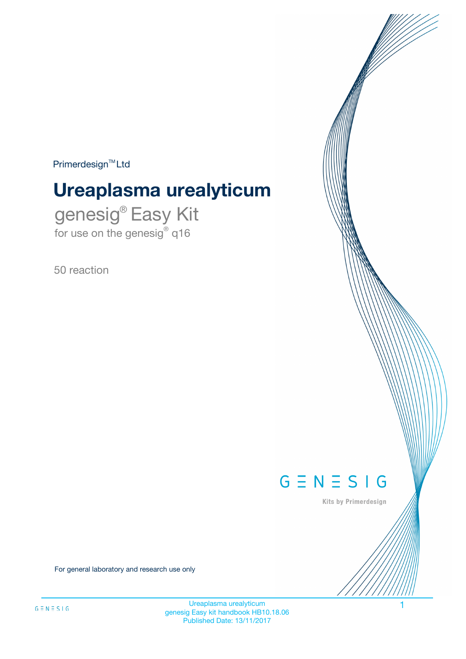$Primerdesign^{\text{TM}}Ltd$ 

# **Ureaplasma urealyticum**

genesig® Easy Kit for use on the genesig® q16

50 reaction



Kits by Primerdesign

For general laboratory and research use only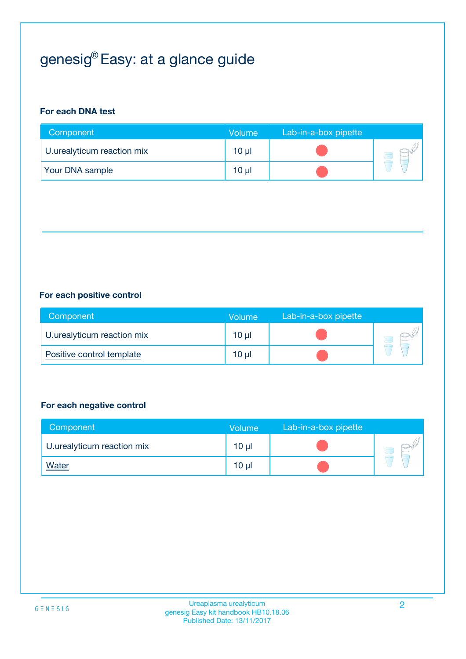# genesig® Easy: at a glance guide

## **For each DNA test**

| Component                  | <b>Volume</b> | Lab-in-a-box pipette |  |
|----------------------------|---------------|----------------------|--|
| U.urealyticum reaction mix | $10 \mu$      |                      |  |
| <b>Your DNA sample</b>     | 10 µl         |                      |  |

## **For each positive control**

| Component                  | Volume   | Lab-in-a-box pipette |  |
|----------------------------|----------|----------------------|--|
| U.urealyticum reaction mix | $10 \mu$ |                      |  |
| Positive control template  | $10 \mu$ |                      |  |

### **For each negative control**

| Component                  | <b>Volume</b>   | Lab-in-a-box pipette |  |
|----------------------------|-----------------|----------------------|--|
| U.urealyticum reaction mix | 10 <sub>µ</sub> |                      |  |
| <b>Water</b>               | 10 <sub>µ</sub> |                      |  |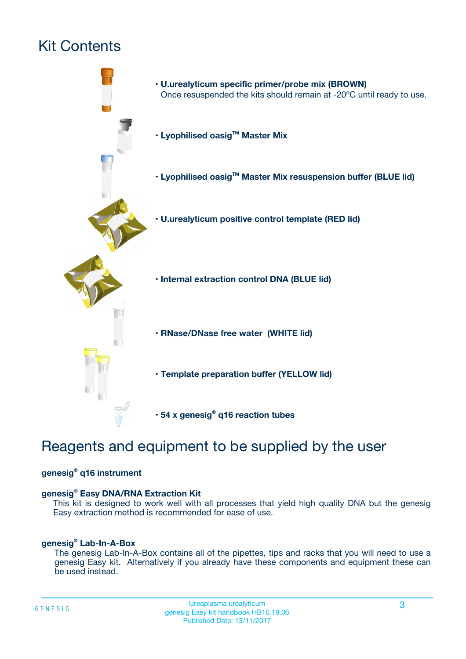## Kit Contents



## Reagents and equipment to be supplied by the user

## **genesig® q16 instrument**

### **genesig® Easy DNA/RNA Extraction Kit**

This kit is designed to work well with all processes that yield high quality DNA but the genesig Easy extraction method is recommended for ease of use.

### **genesig® Lab-In-A-Box**

The genesig Lab-In-A-Box contains all of the pipettes, tips and racks that you will need to use a genesig Easy kit. Alternatively if you already have these components and equipment these can be used instead.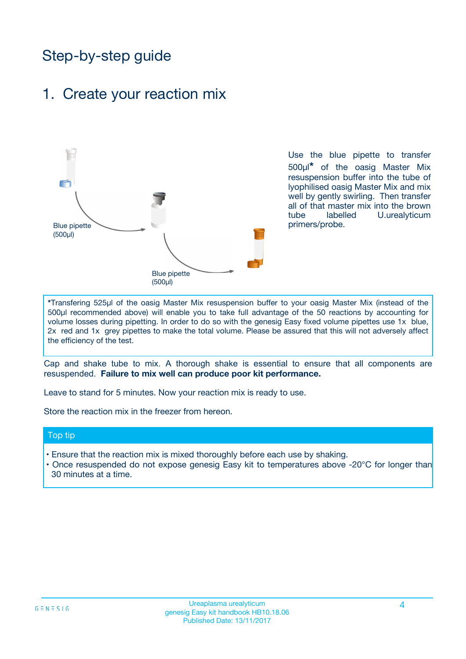## Step-by-step guide

## 1. Create your reaction mix



Use the blue pipette to transfer 500µl**\*** of the oasig Master Mix resuspension buffer into the tube of lyophilised oasig Master Mix and mix well by gently swirling. Then transfer all of that master mix into the brown tube labelled U.urealyticum primers/probe.

**\***Transfering 525µl of the oasig Master Mix resuspension buffer to your oasig Master Mix (instead of the 500µl recommended above) will enable you to take full advantage of the 50 reactions by accounting for volume losses during pipetting. In order to do so with the genesig Easy fixed volume pipettes use 1x blue, 2x red and 1x grey pipettes to make the total volume. Please be assured that this will not adversely affect the efficiency of the test.

Cap and shake tube to mix. A thorough shake is essential to ensure that all components are resuspended. **Failure to mix well can produce poor kit performance.**

Leave to stand for 5 minutes. Now your reaction mix is ready to use.

Store the reaction mix in the freezer from hereon.

### Top tip

- Ensure that the reaction mix is mixed thoroughly before each use by shaking.
- Once resuspended do not expose genesig Easy kit to temperatures above -20°C for longer than 30 minutes at a time.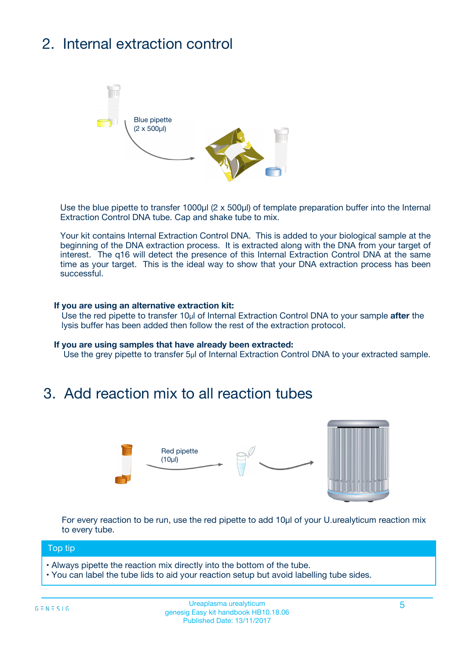# 2. Internal extraction control



Use the blue pipette to transfer 1000µl (2 x 500µl) of template preparation buffer into the Internal Extraction Control DNA tube. Cap and shake tube to mix.

Your kit contains Internal Extraction Control DNA. This is added to your biological sample at the beginning of the DNA extraction process. It is extracted along with the DNA from your target of interest. The q16 will detect the presence of this Internal Extraction Control DNA at the same time as your target. This is the ideal way to show that your DNA extraction process has been successful.

### **If you are using an alternative extraction kit:**

Use the red pipette to transfer 10µl of Internal Extraction Control DNA to your sample **after** the lysis buffer has been added then follow the rest of the extraction protocol.

#### **If you are using samples that have already been extracted:**

Use the grey pipette to transfer 5µl of Internal Extraction Control DNA to your extracted sample.

## 3. Add reaction mix to all reaction tubes



For every reaction to be run, use the red pipette to add 10µl of your U.urealyticum reaction mix to every tube.

### Top tip

- Always pipette the reaction mix directly into the bottom of the tube.
- You can label the tube lids to aid your reaction setup but avoid labelling tube sides.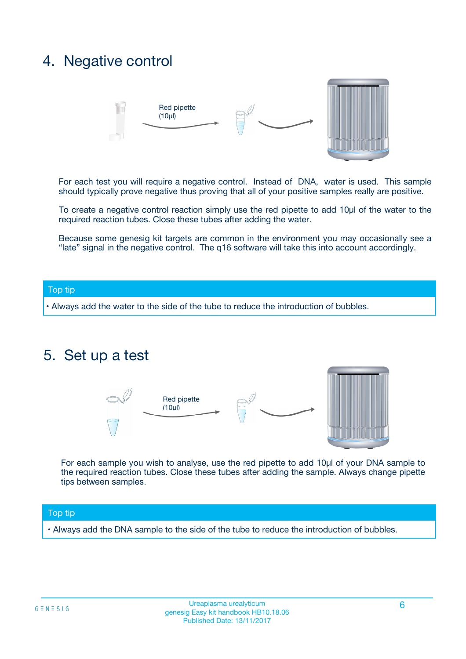## 4. Negative control



For each test you will require a negative control. Instead of DNA, water is used. This sample should typically prove negative thus proving that all of your positive samples really are positive.

To create a negative control reaction simply use the red pipette to add 10µl of the water to the required reaction tubes. Close these tubes after adding the water.

Because some genesig kit targets are common in the environment you may occasionally see a "late" signal in the negative control. The q16 software will take this into account accordingly.

### Top tip

**•** Always add the water to the side of the tube to reduce the introduction of bubbles.

## 5. Set up a test



For each sample you wish to analyse, use the red pipette to add 10µl of your DNA sample to the required reaction tubes. Close these tubes after adding the sample. Always change pipette tips between samples.

### Top tip

**•** Always add the DNA sample to the side of the tube to reduce the introduction of bubbles.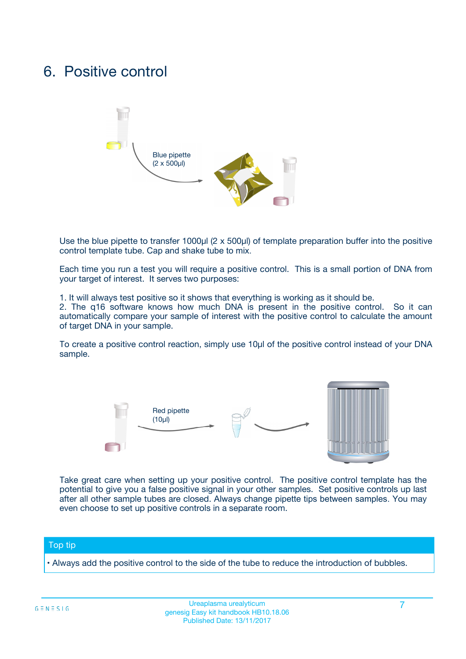## 6. Positive control



Use the blue pipette to transfer 1000µl (2 x 500µl) of template preparation buffer into the positive control template tube. Cap and shake tube to mix.

Each time you run a test you will require a positive control. This is a small portion of DNA from your target of interest. It serves two purposes:

1. It will always test positive so it shows that everything is working as it should be.

2. The q16 software knows how much DNA is present in the positive control. So it can automatically compare your sample of interest with the positive control to calculate the amount of target DNA in your sample.

To create a positive control reaction, simply use 10µl of the positive control instead of your DNA sample.



Take great care when setting up your positive control. The positive control template has the potential to give you a false positive signal in your other samples. Set positive controls up last after all other sample tubes are closed. Always change pipette tips between samples. You may even choose to set up positive controls in a separate room.

### Top tip

**•** Always add the positive control to the side of the tube to reduce the introduction of bubbles.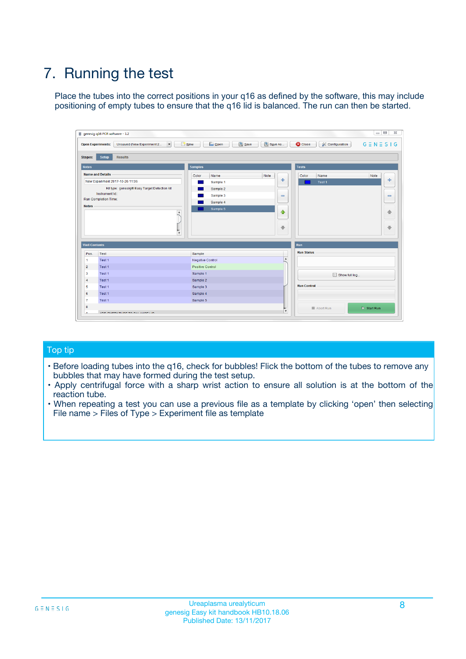# 7. Running the test

Place the tubes into the correct positions in your q16 as defined by the software, this may include positioning of empty tubes to ensure that the q16 lid is balanced. The run can then be started.

| genesig q16 PCR software - 1.2                                                    |                                            |                              |                                          | $\Box$ $\Box$<br>$\Sigma\!3$ |
|-----------------------------------------------------------------------------------|--------------------------------------------|------------------------------|------------------------------------------|------------------------------|
| $\overline{\phantom{a}}$<br><b>Open Experiments:</b><br>Unsaved (New Experiment 2 | <b>D</b> Open<br>Save<br>$\frac{1}{2}$ New | Save As                      | <b>C</b> Close<br><b>X</b> Configuration | $G \equiv N \equiv S \mid G$ |
| <b>Setup</b><br><b>Results</b><br><b>Stages:</b>                                  |                                            |                              |                                          |                              |
| <b>Notes</b>                                                                      | <b>Samples</b>                             |                              | <b>Tests</b>                             |                              |
| <b>Name and Details</b>                                                           | Color<br>Name                              | Note                         | Name<br>Color                            | Note                         |
| New Experiment 2017-10-26 11:06                                                   | Sample 1                                   | 좋                            | Test <sub>1</sub>                        | علي                          |
| Kit type: genesig® Easy Target Detection kit                                      | Sample 2                                   |                              |                                          |                              |
| Instrument Id.:                                                                   | Sample 3                                   | $\qquad \qquad \blacksquare$ |                                          | $\qquad \qquad \blacksquare$ |
| <b>Run Completion Time:</b>                                                       | Sample 4                                   |                              |                                          |                              |
| <b>Notes</b><br>$\blacktriangle$<br>$\overline{\mathbf{v}}$                       | Sample 5                                   | $\triangle$<br>⊕             |                                          | ♠<br>⊕                       |
| <b>Well Contents</b>                                                              |                                            | <b>Run</b>                   |                                          |                              |
| Pos.<br>Test                                                                      | Sample                                     |                              | <b>Run Status</b>                        |                              |
| $\overline{1}$<br>Test 1                                                          | <b>Negative Control</b>                    | $\overline{\phantom{a}}$     |                                          |                              |
| $\overline{2}$<br>Test 1                                                          | Positive Control                           |                              |                                          |                              |
| 3<br>Test 1                                                                       | Sample 1                                   |                              | Show full log                            |                              |
| Test 1<br>$\overline{4}$                                                          | Sample 2                                   |                              |                                          |                              |
| 5<br>Test 1                                                                       | Sample 3                                   |                              | <b>Run Control</b>                       |                              |
| 6<br>Test 1                                                                       | Sample 4                                   |                              |                                          |                              |
| $\overline{7}$<br>Test 1                                                          | Sample 5                                   |                              |                                          |                              |
| 8                                                                                 |                                            |                              | Abort Run                                | $\triangleright$ Start Run   |
| <b>JOD FURTY TUDE TO BUILDED IN</b><br>$\sim$                                     |                                            | v                            |                                          |                              |

## Top tip

- Before loading tubes into the q16, check for bubbles! Flick the bottom of the tubes to remove any bubbles that may have formed during the test setup.
- Apply centrifugal force with a sharp wrist action to ensure all solution is at the bottom of the reaction tube.
- When repeating a test you can use a previous file as a template by clicking 'open' then selecting File name > Files of Type > Experiment file as template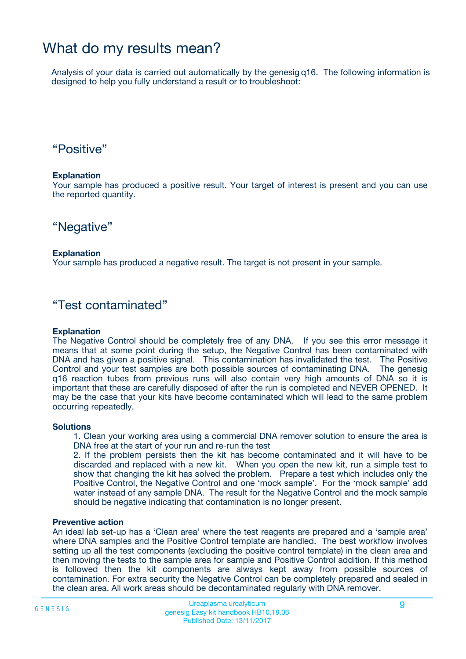## What do my results mean?

Analysis of your data is carried out automatically by the genesig q16. The following information is designed to help you fully understand a result or to troubleshoot:

## "Positive"

### **Explanation**

Your sample has produced a positive result. Your target of interest is present and you can use the reported quantity.

## "Negative"

### **Explanation**

Your sample has produced a negative result. The target is not present in your sample.

## "Test contaminated"

### **Explanation**

The Negative Control should be completely free of any DNA. If you see this error message it means that at some point during the setup, the Negative Control has been contaminated with DNA and has given a positive signal. This contamination has invalidated the test. The Positive Control and your test samples are both possible sources of contaminating DNA. The genesig q16 reaction tubes from previous runs will also contain very high amounts of DNA so it is important that these are carefully disposed of after the run is completed and NEVER OPENED. It may be the case that your kits have become contaminated which will lead to the same problem occurring repeatedly.

### **Solutions**

1. Clean your working area using a commercial DNA remover solution to ensure the area is DNA free at the start of your run and re-run the test

2. If the problem persists then the kit has become contaminated and it will have to be discarded and replaced with a new kit. When you open the new kit, run a simple test to show that changing the kit has solved the problem. Prepare a test which includes only the Positive Control, the Negative Control and one 'mock sample'. For the 'mock sample' add water instead of any sample DNA. The result for the Negative Control and the mock sample should be negative indicating that contamination is no longer present.

### **Preventive action**

An ideal lab set-up has a 'Clean area' where the test reagents are prepared and a 'sample area' where DNA samples and the Positive Control template are handled. The best workflow involves setting up all the test components (excluding the positive control template) in the clean area and then moving the tests to the sample area for sample and Positive Control addition. If this method is followed then the kit components are always kept away from possible sources of contamination. For extra security the Negative Control can be completely prepared and sealed in the clean area. All work areas should be decontaminated regularly with DNA remover.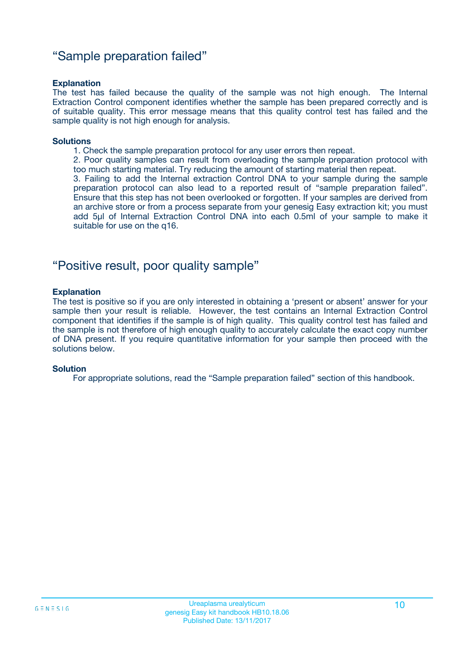## "Sample preparation failed"

### **Explanation**

The test has failed because the quality of the sample was not high enough. The Internal Extraction Control component identifies whether the sample has been prepared correctly and is of suitable quality. This error message means that this quality control test has failed and the sample quality is not high enough for analysis.

#### **Solutions**

1. Check the sample preparation protocol for any user errors then repeat.

2. Poor quality samples can result from overloading the sample preparation protocol with too much starting material. Try reducing the amount of starting material then repeat.

3. Failing to add the Internal extraction Control DNA to your sample during the sample preparation protocol can also lead to a reported result of "sample preparation failed". Ensure that this step has not been overlooked or forgotten. If your samples are derived from an archive store or from a process separate from your genesig Easy extraction kit; you must add 5µl of Internal Extraction Control DNA into each 0.5ml of your sample to make it suitable for use on the q16.

## "Positive result, poor quality sample"

### **Explanation**

The test is positive so if you are only interested in obtaining a 'present or absent' answer for your sample then your result is reliable. However, the test contains an Internal Extraction Control component that identifies if the sample is of high quality. This quality control test has failed and the sample is not therefore of high enough quality to accurately calculate the exact copy number of DNA present. If you require quantitative information for your sample then proceed with the solutions below.

### **Solution**

For appropriate solutions, read the "Sample preparation failed" section of this handbook.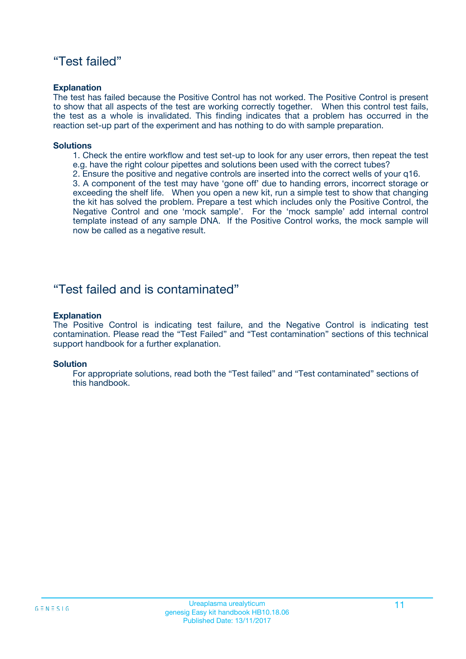## "Test failed"

### **Explanation**

The test has failed because the Positive Control has not worked. The Positive Control is present to show that all aspects of the test are working correctly together. When this control test fails, the test as a whole is invalidated. This finding indicates that a problem has occurred in the reaction set-up part of the experiment and has nothing to do with sample preparation.

### **Solutions**

- 1. Check the entire workflow and test set-up to look for any user errors, then repeat the test e.g. have the right colour pipettes and solutions been used with the correct tubes?
- 2. Ensure the positive and negative controls are inserted into the correct wells of your q16.

3. A component of the test may have 'gone off' due to handing errors, incorrect storage or exceeding the shelf life. When you open a new kit, run a simple test to show that changing the kit has solved the problem. Prepare a test which includes only the Positive Control, the Negative Control and one 'mock sample'. For the 'mock sample' add internal control template instead of any sample DNA. If the Positive Control works, the mock sample will now be called as a negative result.

## "Test failed and is contaminated"

### **Explanation**

The Positive Control is indicating test failure, and the Negative Control is indicating test contamination. Please read the "Test Failed" and "Test contamination" sections of this technical support handbook for a further explanation.

### **Solution**

For appropriate solutions, read both the "Test failed" and "Test contaminated" sections of this handbook.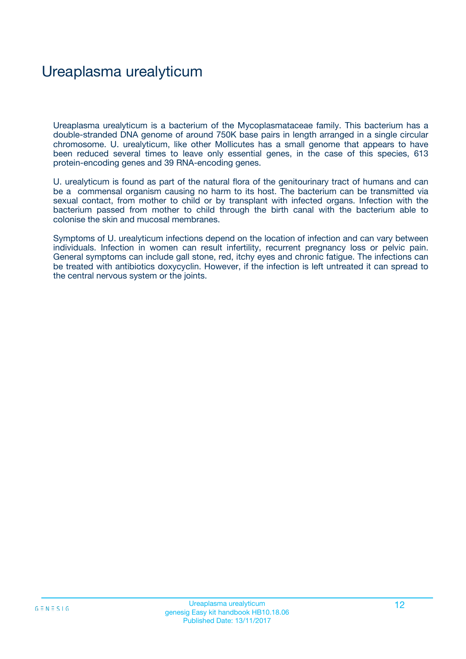## Ureaplasma urealyticum

Ureaplasma urealyticum is a bacterium of the Mycoplasmataceae family. This bacterium has a double-stranded DNA genome of around 750K base pairs in length arranged in a single circular chromosome. U. urealyticum, like other Mollicutes has a small genome that appears to have been reduced several times to leave only essential genes, in the case of this species, 613 protein-encoding genes and 39 RNA-encoding genes.

U. urealyticum is found as part of the natural flora of the genitourinary tract of humans and can be a commensal organism causing no harm to its host. The bacterium can be transmitted via sexual contact, from mother to child or by transplant with infected organs. Infection with the bacterium passed from mother to child through the birth canal with the bacterium able to colonise the skin and mucosal membranes.

Symptoms of U. urealyticum infections depend on the location of infection and can vary between individuals. Infection in women can result infertility, recurrent pregnancy loss or pelvic pain. General symptoms can include gall stone, red, itchy eyes and chronic fatigue. The infections can be treated with antibiotics doxycyclin. However, if the infection is left untreated it can spread to the central nervous system or the joints.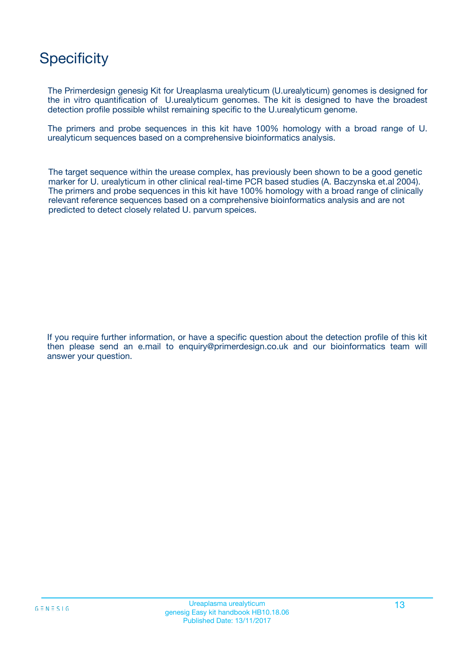## **Specificity**

The Primerdesign genesig Kit for Ureaplasma urealyticum (U.urealyticum) genomes is designed for the in vitro quantification of U.urealyticum genomes. The kit is designed to have the broadest detection profile possible whilst remaining specific to the U.urealyticum genome.

The primers and probe sequences in this kit have 100% homology with a broad range of U. urealyticum sequences based on a comprehensive bioinformatics analysis.

The target sequence within the urease complex, has previously been shown to be a good genetic marker for U. urealyticum in other clinical real-time PCR based studies (A. Baczynska et.al 2004). The primers and probe sequences in this kit have 100% homology with a broad range of clinically relevant reference sequences based on a comprehensive bioinformatics analysis and are not predicted to detect closely related U. parvum speices.

If you require further information, or have a specific question about the detection profile of this kit then please send an e.mail to enquiry@primerdesign.co.uk and our bioinformatics team will answer your question.